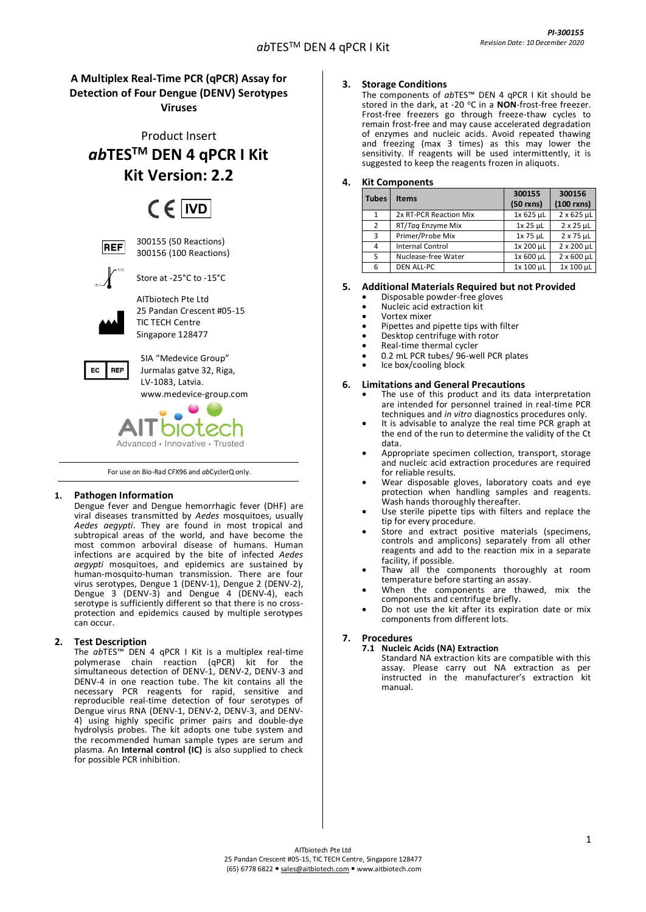# **A Multiplex Real-Time PCR (qPCR) Assay for Detection of Four Dengue (DENV) Serotypes Viruses**

Product Insert *ab***TESTM DEN 4 qPCR I Kit Kit Version: 2.2**

# $CF$  IVD

**REF** 

300155 (50 Reactions) 300156 (100 Reactions)



Store at -25°C to -15°C

AITbiotech Pte Ltd 25 Pandan Crescent #05-15 TIC TECH Centre Singapore 128477



SIA "Medevice Group" Jurmalas gatve 32, Riga, LV-1083, Latvia. [www.medevice-group.com](http://www.medevice-group.com/)

# Advanced - Innovative - Trusted

For use on Bio-Rad CFX96 and *ab*CyclerQ only.

# **1. Pathogen Information**

Dengue fever and Dengue hemorrhagic fever (DHF) are viral diseases transmitted by *Aedes* mosquitoes, usually *Aedes aegypti*. They are found in most tropical and subtropical areas of the world, and have become the most common arboviral disease of humans. Human infections are acquired by the bite of infected *Aedes aegypti* mosquitoes, and epidemics are sustained by human-mosquito-human transmission. There are four virus serotypes, Dengue 1 (DENV-1), Dengue 2 (DENV-2), Dengue 3 (DENV-3) and Dengue 4 (DENV-4), each serotype is sufficiently different so that there is no crossprotection and epidemics caused by multiple serotypes can occur.

# **2. Test Description**

The *ab*TES™ DEN 4 qPCR I Kit is a multiplex real-time polymerase chain reaction (qPCR) kit for the simultaneous detection of DENV-1, DENV-2, DENV-3 and DENV-4 in one reaction tube. The kit contains all the necessary PCR reagents for rapid, sensitive and reproducible real-time detection of four serotypes of Dengue virus RNA (DENV-1, DENV-2, DENV-3, and DENV-4) using highly specific primer pairs and double-dye hydrolysis probes. The kit adopts one tube system and the recommended human sample types are serum and plasma. An **Internal control (IC)** is also supplied to check for possible PCR inhibition.

# **3. Storage Conditions**

The components of *ab*TES™ DEN 4 qPCR I Kit should be stored in the dark, at -20 °C in a **NON**-frost-free freezer. Frost-free freezers go through freeze-thaw cycles to remain frost-free and may cause accelerated degradation of enzymes and nucleic acids. Avoid repeated thawing and freezing (max 3 times) as this may lower the sensitivity. If reagents will be used intermittently, it is suggested to keep the reagents frozen in aliquots.

# **4. Kit Components**

| <b>Tubes</b>   | <b>Items</b>           | 300155<br>$(50$ rxns) | 300156<br>$(100$ rxns) |
|----------------|------------------------|-----------------------|------------------------|
|                | 2x RT-PCR Reaction Mix | 1x 625 µL             | $2 \times 625$ µL      |
| $\overline{2}$ | RT/Tag Enzyme Mix      | 1x 25 µL              | $2 \times 25$ µL       |
| 3              | Primer/Probe Mix       | 1x 75 µL              | $2 \times 75$ µL       |
| 4              | Internal Control       | 1x 200 µL             | 2 x 200 µL             |
| 5              | Nuclease-free Water    | 1x 600 µL             | $2 \times 600$ µL      |
| 6              | <b>DEN ALL-PC</b>      | 1x 100 µL             | 1x 100 µL              |

# **5. Additional Materials Required but not Provided**

- Disposable powder-free gloves
	- Nucleic acid extraction kit
	- Vortex mixer
	- Pipettes and pipette tips with filter
- Desktop centrifuge with rotor
- Real-time thermal cycler
- 0.2 mL PCR tubes/ 96-well PCR plates Ice box/cooling block

# **6. Limitations and General Precautions**

- The use of this product and its data interpretation are intended for personnel trained in real-time PCR techniques and *in vitro* diagnostics procedures only.
- It is advisable to analyze the real time PCR graph at the end of the run to determine the validity of the Ct data.
- Appropriate specimen collection, transport, storage and nucleic acid extraction procedures are required for reliable results.
- Wear disposable gloves, laboratory coats and eye protection when handling samples and reagents. Wash hands thoroughly thereafter.
- Use sterile pipette tips with filters and replace the tip for every procedure.
- Store and extract positive materials (specimens, controls and amplicons) separately from all other reagents and add to the reaction mix in a separate facility, if possible.
- Thaw all the components thoroughly at room temperature before starting an assay.
- When the components are thawed, mix the components and centrifuge briefly.
- Do not use the kit after its expiration date or mix components from different lots.

# **7. Procedures**

# **7.1 Nucleic Acids (NA) Extraction**

Standard NA extraction kits are compatible with this assay. Please carry out NA extraction as per instructed in the manufacturer's extraction kit manual.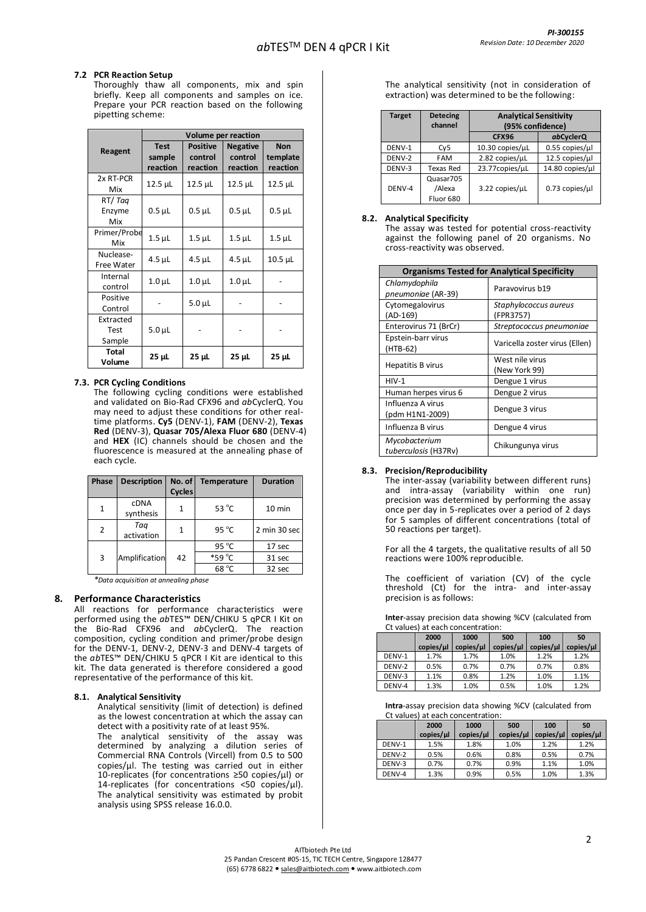#### **7.2 PCR Reaction Setup**

Thoroughly thaw all components, mix and spin briefly. Keep all components and samples on ice. Prepare your PCR reaction based on the following pipetting scheme:

|                             | Volume per reaction               |                                        |                                        |                                    |  |  |
|-----------------------------|-----------------------------------|----------------------------------------|----------------------------------------|------------------------------------|--|--|
| Reagent                     | <b>Test</b><br>sample<br>reaction | <b>Positive</b><br>control<br>reaction | <b>Negative</b><br>control<br>reaction | <b>Non</b><br>template<br>reaction |  |  |
| 2x RT-PCR<br>Mix            | $12.5$ $\mu$ L                    | $12.5$ $\mu$ L                         | $12.5$ $\mu$ L                         | 12.5 µL                            |  |  |
| RT/Tag<br>Enzyme<br>Mix     | $0.5$ $\mu$ L                     | $0.5$ $\mu$ L                          | $0.5$ $\mu$ L                          | $0.5$ $\mu$ L                      |  |  |
| Primer/Probe<br>Mix         | $1.5$ $\mu$ L                     | $1.5$ $\mu$ L                          | $1.5$ $\mu$ L                          | $1.5$ $\mu$ L                      |  |  |
| Nuclease-<br>Free Water     | $4.5$ µL                          | 4.5 µL                                 | $4.5$ µL                               | 10.5 µL                            |  |  |
| Internal<br>control         | $1.0\mu$ L                        | $1.0\mu$ L                             | $1.0\mu$ L                             |                                    |  |  |
| Positive<br>Control         |                                   | $5.0 \mu L$                            |                                        |                                    |  |  |
| Extracted<br>Test<br>Sample | $5.0 \mu L$                       |                                        |                                        |                                    |  |  |
| <b>Total</b><br>Volume      | 25 µL                             | $25 \mu L$                             | 25 µL                                  | 25 µL                              |  |  |

#### **7.3. PCR Cycling Conditions**

The following cycling conditions were established and validated on Bio-Rad CFX96 and *ab*CyclerQ. You may need to adjust these conditions for other realtime platforms. **Cy5** (DENV-1), **FAM** (DENV-2), **Texas Red** (DENV-3), **Quasar 705/Alexa Fluor 680** (DENV-4) and **HEX** (IC) channels should be chosen and the fluorescence is measured at the annealing phase of each cycle.

| Phase        | <b>Description</b>       | No. of<br><b>Cycles</b> | <b>Temperature</b> | <b>Duration</b> |
|--------------|--------------------------|-------------------------|--------------------|-----------------|
| $\mathbf{1}$ | <b>cDNA</b><br>synthesis | 1                       | 53 $^{\circ}$ C    | 10 min          |
| 2            | Taq<br>activation        | 1                       | $95^{\circ}$ C     | 2 min 30 sec    |
|              |                          |                         | 95 $^{\circ}$ C    | 17 sec          |
| 3            | Amplification            | 42                      | *59 °C             | 31 sec          |
|              |                          |                         | 68 °C              | 32 sec          |

*\*Data acquisition at annealing phase*

#### **8. Performance Characteristics**

All reactions for performance characteristics were performed using the *ab*TES™ DEN/CHIKU 5 qPCR I Kit on the Bio-Rad CFX96 and *ab*CyclerQ. The reaction composition, cycling condition and primer/probe design for the DENV-1, DENV-2, DENV-3 and DENV-4 targets of the *ab*TES™ DEN/CHIKU 5 qPCR I Kit are identical to this kit. The data generated is therefore considered a good representative of the performance of this kit.

#### **8.1. Analytical Sensitivity**

Analytical sensitivity (limit of detection) is defined as the lowest concentration at which the assay can detect with a positivity rate of at least 95%.

The analytical sensitivity of the assay was determined by analyzing a dilution series of Commercial RNA Controls (Vircell) from 0.5 to 500 copies/µl. The testing was carried out in either 10-replicates (for concentrations ≥50 copies/µl) or 14-replicates (for concentrations <50 copies/µl). The analytical sensitivity was estimated by probit analysis using SPSS release 16.0.0.

The analytical sensitivity (not in consideration of extraction) was determined to be the following:

| <b>Target</b> | <b>Detecing</b><br>channel       | <b>Analytical Sensitivity</b><br>(95% confidence) |                        |  |
|---------------|----------------------------------|---------------------------------------------------|------------------------|--|
|               |                                  | <b>CFX96</b>                                      | abCyclerQ              |  |
| DENV-1        | Cy5                              | 10.30 copies/uL                                   | $0.55$ copies/ $\mu$ l |  |
| DENV-2        | <b>FAM</b>                       | 2.82 copies/uL                                    | 12.5 copies/ul         |  |
| DENV-3        | Texas Red                        | 23.77copies/uL                                    | 14.80 copies/ul        |  |
| DENV-4        | Quasar705<br>/Alexa<br>Fluor 680 | 3.22 copies/uL                                    | $0.73$ copies/ $\mu$ l |  |

#### **8.2. Analytical Specificity**

The assay was tested for potential cross-reactivity against the following panel of 20 organisms. No cross-reactivity was observed.

|                                       | <b>Organisms Tested for Analytical Specificity</b> |  |  |  |  |
|---------------------------------------|----------------------------------------------------|--|--|--|--|
| Chlamydophila<br>pneumoniae (AR-39)   | Paravovirus b19                                    |  |  |  |  |
| Cytomegalovirus<br>(AD-169)           | Staphylococcus aureus<br>(FPR3757)                 |  |  |  |  |
| Enterovirus 71 (BrCr)                 | Streptococcus pneumoniae                           |  |  |  |  |
| Epstein-barr virus<br>(HTB-62)        | Varicella zoster virus (Ellen)                     |  |  |  |  |
| Hepatitis B virus                     | West nile virus<br>(New York 99)                   |  |  |  |  |
| $HIV-1$                               | Dengue 1 virus                                     |  |  |  |  |
| Human herpes virus 6                  | Dengue 2 virus                                     |  |  |  |  |
| Influenza A virus<br>(pdm H1N1-2009)  | Dengue 3 virus                                     |  |  |  |  |
| Influenza B virus                     | Dengue 4 virus                                     |  |  |  |  |
| Mycobacterium<br>tuberculosis (H37Rv) | Chikungunya virus                                  |  |  |  |  |

#### **8.3. Precision/Reproducibility**

The inter-assay (variability between different runs) and intra-assay (variability within one run) precision was determined by performing the assay once per day in 5-replicates over a period of 2 days for 5 samples of different concentrations (total of 50 reactions per target).

For all the 4 targets, the qualitative results of all 50 reactions were 100% reproducible.

The coefficient of variation (CV) of the cycle threshold (Ct) for the intra- and inter-assay precision is as follows:

**Inter**-assay precision data showing %CV (calculated from Ct values) at each concentration:

|        | 2000      | 1000      | 500       | 100       | 50        |
|--------|-----------|-----------|-----------|-----------|-----------|
|        | copies/µl | copies/µl | copies/µl | copies/µl | copies/µl |
| DENV-1 | 1.7%      | 1.7%      | 1.0%      | 1.2%      | 1.2%      |
| DENV-2 | 0.5%      | 0.7%      | 0.7%      | 0.7%      | 0.8%      |
| DENV-3 | 1.1%      | 0.8%      | 1.2%      | 1.0%      | 1.1%      |
| DENV-4 | 1.3%      | 1.0%      | 0.5%      | 1.0%      | 1.2%      |

**Intra**-assay precision data showing %CV (calculated from Ct values) at each concentration:

|        | 2000      | 1000                 | 500       | 100       | 50        |
|--------|-----------|----------------------|-----------|-----------|-----------|
|        | copies/µl | copies/ <sub>µ</sub> | copies/µl | copies/µl | copies/µl |
| DENV-1 | 1.5%      | 1.8%                 | 1.0%      | 1.2%      | 1.2%      |
| DENV-2 | 0.5%      | 0.6%                 | 0.8%      | 0.5%      | 0.7%      |
| DENV-3 | 0.7%      | 0.7%                 | 0.9%      | 1.1%      | 1.0%      |
| DENV-4 | 1.3%      | 0.9%                 | 0.5%      | 1.0%      | 1.3%      |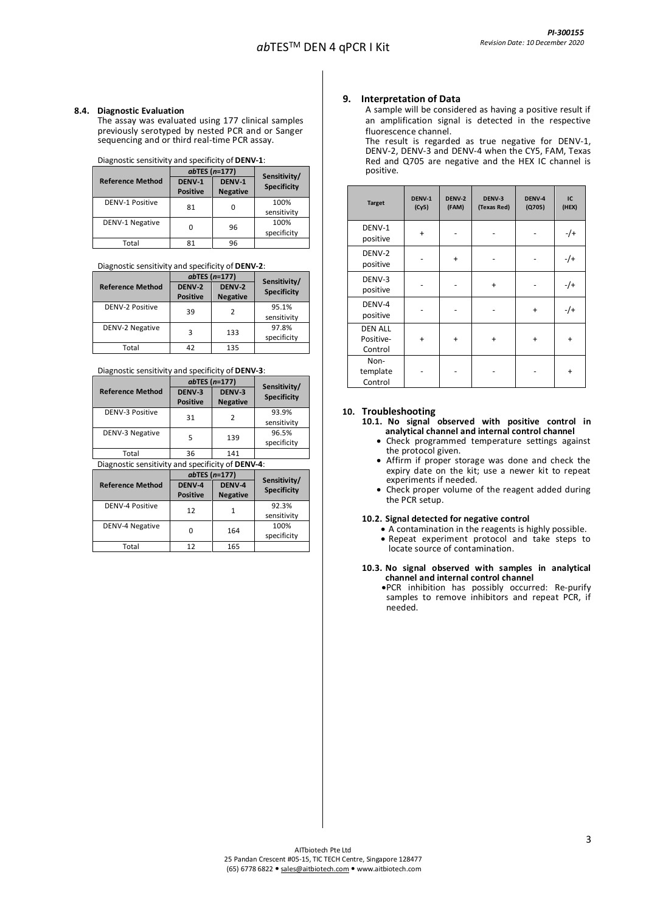## **8.4. Diagnostic Evaluation**

The assay was evaluated using 177 clinical samples previously serotyped by nested PCR and or Sanger sequencing and or third real-time PCR assay.

#### Diagnostic sensitivity and specificity of **DENV-1**:

|                         | $ab$ TES ( $n=177$ ) | Sensitivity/    |                    |  |
|-------------------------|----------------------|-----------------|--------------------|--|
| <b>Reference Method</b> | DENV-1               | DENV-1          | <b>Specificity</b> |  |
|                         | <b>Positive</b>      | <b>Negative</b> |                    |  |
| <b>DENV-1 Positive</b>  | 81                   | 0               | 100%               |  |
|                         |                      |                 | sensitivity        |  |
| DENV-1 Negative         | ი                    | 96              | 100%               |  |
|                         |                      |                 | specificity        |  |
| Total                   | 81                   | 96              |                    |  |

## Diagnostic sensitivity and specificity of **DENV-2**:

|                         | $ab$ TES ( $n=177$ )      |                           | Sensitivity/         |
|-------------------------|---------------------------|---------------------------|----------------------|
| <b>Reference Method</b> | DENV-2<br><b>Positive</b> | DENV-2<br><b>Negative</b> | <b>Specificity</b>   |
| <b>DENV-2 Positive</b>  | 39                        | 2                         | 95.1%<br>sensitivity |
| <b>DENV-2 Negative</b>  | 3                         | 133                       | 97.8%<br>specificity |
| Total                   | 42                        | 135                       |                      |

#### Diagnostic sensitivity and specificity of **DENV-3**:

|                                                           | $ab$ TES ( $n=177$ ) | Sensitivity/    |                    |  |  |
|-----------------------------------------------------------|----------------------|-----------------|--------------------|--|--|
| <b>Reference Method</b>                                   | DENV-3               | DENV-3          | <b>Specificity</b> |  |  |
|                                                           | <b>Positive</b>      | <b>Negative</b> |                    |  |  |
| <b>DENV-3 Positive</b>                                    | 31                   | 2               | 93.9%              |  |  |
|                                                           |                      |                 | sensitivity        |  |  |
| <b>DENV-3 Negative</b>                                    |                      |                 | 96.5%              |  |  |
|                                                           | 139<br>5             |                 | specificity        |  |  |
| Total                                                     | 36                   | 141             |                    |  |  |
| Diagnostic sensitivity and specificity of <b>DENV-4</b> : |                      |                 |                    |  |  |
|                                                           | $\cdots$<br>----     |                 |                    |  |  |

|                         | $ab$ TES ( $n=177$ ) |                 | Sensitivity/       |  |
|-------------------------|----------------------|-----------------|--------------------|--|
| <b>Reference Method</b> | DENV-4               | DENV-4          | <b>Specificity</b> |  |
|                         | <b>Positive</b>      | <b>Negative</b> |                    |  |
| DENV-4 Positive         | 12                   |                 | 92.3%              |  |
|                         |                      |                 | sensitivity        |  |
| DENV-4 Negative         |                      | 164             | 100%               |  |
|                         | 0                    |                 | specificity        |  |
| Total                   | 12                   | 165             |                    |  |

#### **9. Interpretation of Data**

A sample will be considered as having a positive result if an amplification signal is detected in the respective fluorescence channel.

The result is regarded as true negative for DENV-1, DENV-2, DENV-3 and DENV-4 when the CY5, FAM, Texas Red and Q705 are negative and the HEX IC channel is positive.

| <b>Target</b>                          | DENV-1<br>(Cy5) | DENV-2<br>(FAM) | DENV-3<br>(Texas Red) | DENV-4<br>(Q705) | IC<br>(HEX) |
|----------------------------------------|-----------------|-----------------|-----------------------|------------------|-------------|
| DENV-1<br>positive                     | $\ddot{}$       |                 |                       |                  | $-$ /+      |
| DENV-2<br>positive                     |                 | $\ddot{}$       |                       |                  | $-$ /+      |
| DENV-3<br>positive                     |                 |                 | $\ddot{}$             |                  | $-$ /+      |
| DENV-4<br>positive                     |                 |                 |                       | $\ddot{}$        | $-$ /+      |
| <b>DEN ALL</b><br>Positive-<br>Control | $\ddot{}$       | $\ddot{}$       | +                     | $\ddot{}$        | $\ddot{}$   |
| Non-<br>template<br>Control            |                 |                 |                       |                  | $\ddot{}$   |

# **10. Troubleshooting**

**10.1. No signal observed with positive control in analytical channel and internal control channel**

- Check programmed temperature settings against the protocol given.
- Affirm if proper storage was done and check the expiry date on the kit; use a newer kit to repeat experiments if needed.
- Check proper volume of the reagent added during the PCR setup.

#### **10.2. Signal detected for negative control**

• A contamination in the reagents is highly possible. • Repeat experiment protocol and take steps to locate source of contamination.

#### **10.3. No signal observed with samples in analytical channel and internal control channel**

•PCR inhibition has possibly occurred: Re-purify samples to remove inhibitors and repeat PCR, if needed.